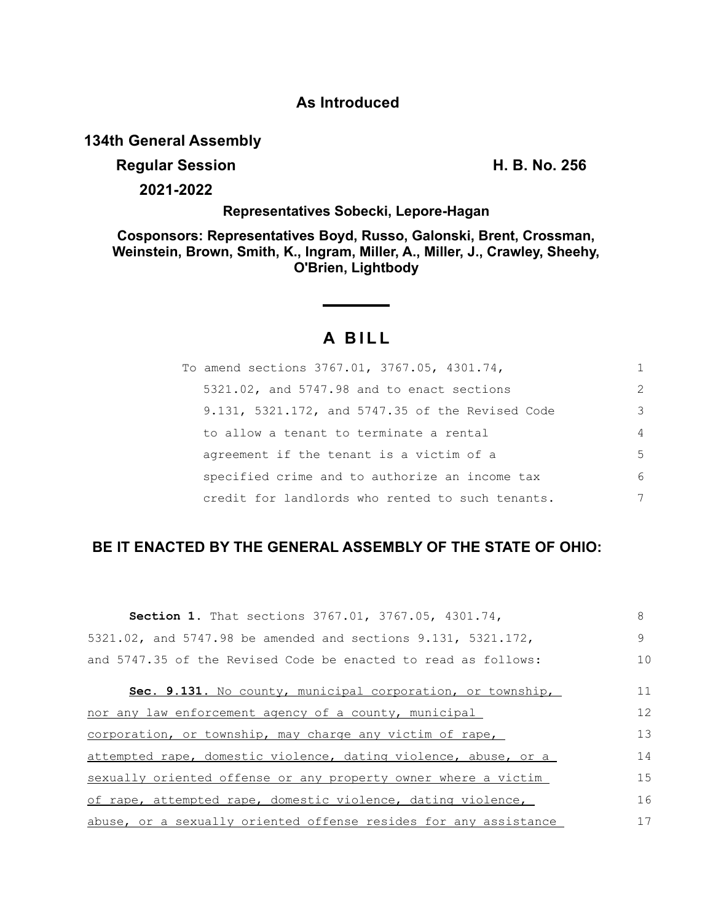## **As Introduced**

## **134th General Assembly**

## **Regular Session H. B. No. 256**

**2021-2022**

## **Representatives Sobecki, Lepore-Hagan**

**Cosponsors: Representatives Boyd, Russo, Galonski, Brent, Crossman, Weinstein, Brown, Smith, K., Ingram, Miller, A., Miller, J., Crawley, Sheehy, O'Brien, Lightbody**

# **A B I L L**

| To amend sections 3767.01, 3767.05, 4301.74,     |                |
|--------------------------------------------------|----------------|
| 5321.02, and 5747.98 and to enact sections       | $\mathcal{L}$  |
| 9.131, 5321.172, and 5747.35 of the Revised Code | 3              |
| to allow a tenant to terminate a rental          | $\overline{4}$ |
| agreement if the tenant is a victim of a         | .5             |
| specified crime and to authorize an income tax   | 6              |
| credit for landlords who rented to such tenants. | 7              |

## **BE IT ENACTED BY THE GENERAL ASSEMBLY OF THE STATE OF OHIO:**

| <b>Section 1.</b> That sections 3767.01, 3767.05, 4301.74,       | 8  |
|------------------------------------------------------------------|----|
| 5321.02, and 5747.98 be amended and sections 9.131, 5321.172,    | 9  |
| and 5747.35 of the Revised Code be enacted to read as follows:   | 10 |
| Sec. 9.131. No county, municipal corporation, or township,       | 11 |
| nor any law enforcement agency of a county, municipal            | 12 |
| corporation, or township, may charge any victim of rape,         | 13 |
| attempted rape, domestic violence, dating violence, abuse, or a  | 14 |
| sexually oriented offense or any property owner where a victim   | 15 |
| of rape, attempted rape, domestic violence, dating violence,     | 16 |
| abuse, or a sexually oriented offense resides for any assistance | 17 |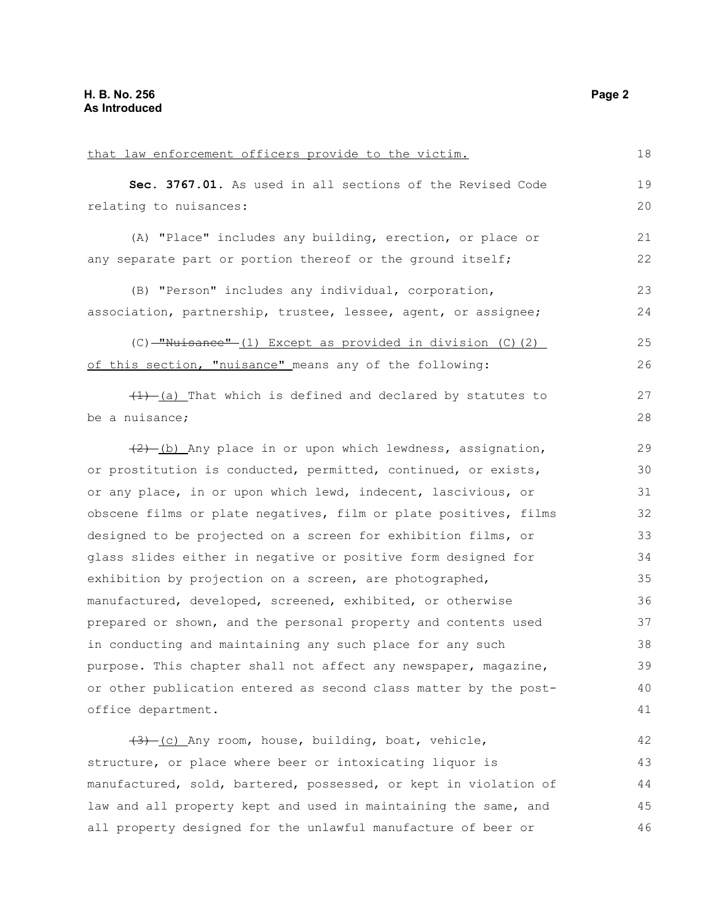| that law enforcement officers provide to the victim.               | 18 |
|--------------------------------------------------------------------|----|
| Sec. 3767.01. As used in all sections of the Revised Code          | 19 |
| relating to nuisances:                                             | 20 |
| (A) "Place" includes any building, erection, or place or           | 21 |
| any separate part or portion thereof or the ground itself;         | 22 |
|                                                                    |    |
| (B) "Person" includes any individual, corporation,                 | 23 |
| association, partnership, trustee, lessee, agent, or assignee;     | 24 |
| $(C)$ -"Nuisance" $(1)$ Except as provided in division $(C)$ $(2)$ | 25 |
| of this section, "nuisance" means any of the following:            | 26 |
| $(1)$ $(a)$ That which is defined and declared by statutes to      | 27 |
| be a nuisance;                                                     | 28 |
|                                                                    |    |
| $(2)$ (b) Any place in or upon which lewdness, assignation,        | 29 |
| or prostitution is conducted, permitted, continued, or exists,     | 30 |
| or any place, in or upon which lewd, indecent, lascivious, or      | 31 |
| obscene films or plate negatives, film or plate positives, films   | 32 |
| designed to be projected on a screen for exhibition films, or      | 33 |
| glass slides either in negative or positive form designed for      | 34 |
| exhibition by projection on a screen, are photographed,            | 35 |
| manufactured, developed, screened, exhibited, or otherwise         | 36 |
| prepared or shown, and the personal property and contents used     | 37 |
| in conducting and maintaining any such place for any such          | 38 |
| purpose. This chapter shall not affect any newspaper, magazine,    | 39 |
| or other publication entered as second class matter by the post-   | 40 |
| office department.                                                 | 41 |
|                                                                    | 42 |
| (3) (c) Any room, house, building, boat, vehicle,                  |    |
| structure, or place where beer or intoxicating liquor is           | 43 |
| manufactured, sold, bartered, possessed, or kept in violation of   | 44 |
| law and all property kept and used in maintaining the same, and    | 45 |
| all property designed for the unlawful manufacture of beer or      | 46 |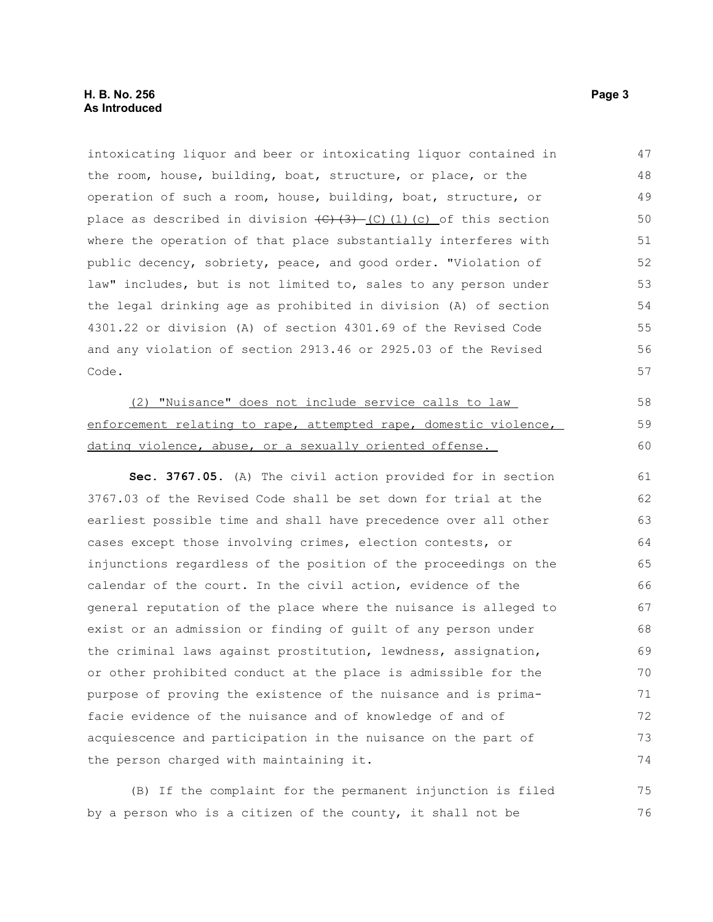#### **H. B. No. 256 Page 3 As Introduced**

intoxicating liquor and beer or intoxicating liquor contained in the room, house, building, boat, structure, or place, or the operation of such a room, house, building, boat, structure, or place as described in division  $\left(\frac{C}{3}, \frac{3}{2}\right)$  (C)(1)(c) of this section where the operation of that place substantially interferes with public decency, sobriety, peace, and good order. "Violation of law" includes, but is not limited to, sales to any person under the legal drinking age as prohibited in division (A) of section 4301.22 or division (A) of section 4301.69 of the Revised Code and any violation of section 2913.46 or 2925.03 of the Revised Code. 47 48 49 50 51 52 53 54 55 56 57

(2) "Nuisance" does not include service calls to law enforcement relating to rape, attempted rape, domestic violence, dating violence, abuse, or a sexually oriented offense.

**Sec. 3767.05.** (A) The civil action provided for in section 3767.03 of the Revised Code shall be set down for trial at the earliest possible time and shall have precedence over all other cases except those involving crimes, election contests, or injunctions regardless of the position of the proceedings on the calendar of the court. In the civil action, evidence of the general reputation of the place where the nuisance is alleged to exist or an admission or finding of guilt of any person under the criminal laws against prostitution, lewdness, assignation, or other prohibited conduct at the place is admissible for the purpose of proving the existence of the nuisance and is primafacie evidence of the nuisance and of knowledge of and of acquiescence and participation in the nuisance on the part of the person charged with maintaining it. 61 62 63 64 65 66 67 68 69 70 71 72 73 74

(B) If the complaint for the permanent injunction is filed by a person who is a citizen of the county, it shall not be 75 76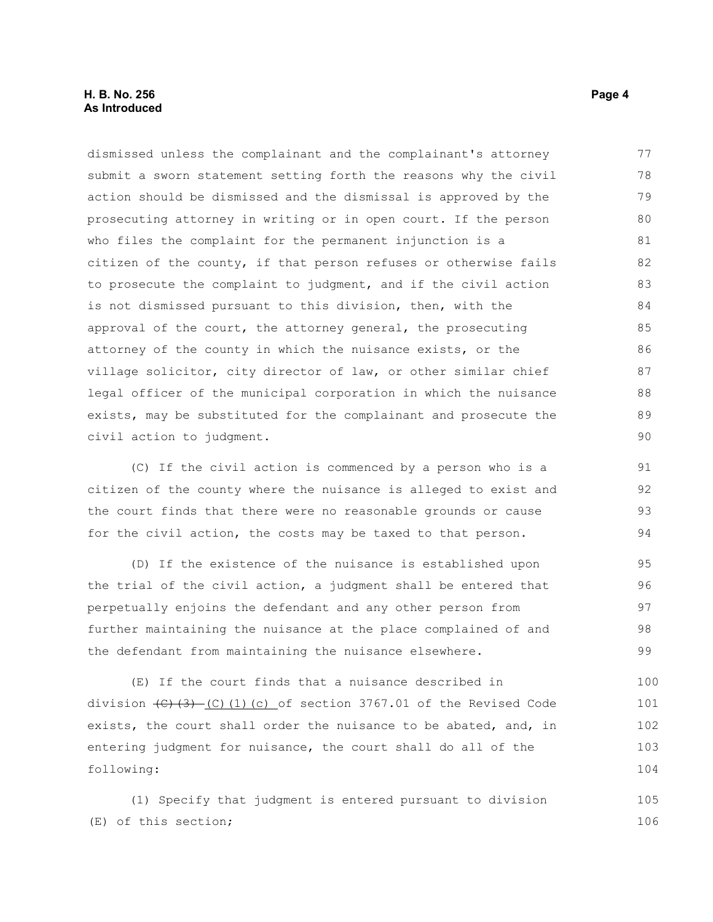#### **H. B. No. 256** Page 4 **As Introduced**

dismissed unless the complainant and the complainant's attorney submit a sworn statement setting forth the reasons why the civil action should be dismissed and the dismissal is approved by the prosecuting attorney in writing or in open court. If the person who files the complaint for the permanent injunction is a citizen of the county, if that person refuses or otherwise fails to prosecute the complaint to judgment, and if the civil action is not dismissed pursuant to this division, then, with the approval of the court, the attorney general, the prosecuting attorney of the county in which the nuisance exists, or the village solicitor, city director of law, or other similar chief legal officer of the municipal corporation in which the nuisance exists, may be substituted for the complainant and prosecute the civil action to judgment. 77 78 79 80 81 82 83 84 85 86 87 88 89 90

(C) If the civil action is commenced by a person who is a citizen of the county where the nuisance is alleged to exist and the court finds that there were no reasonable grounds or cause for the civil action, the costs may be taxed to that person.

(D) If the existence of the nuisance is established upon the trial of the civil action, a judgment shall be entered that perpetually enjoins the defendant and any other person from further maintaining the nuisance at the place complained of and the defendant from maintaining the nuisance elsewhere.

(E) If the court finds that a nuisance described in division  $\left(\frac{C}{3}\right)$  (C)(1)(c) of section 3767.01 of the Revised Code exists, the court shall order the nuisance to be abated, and, in entering judgment for nuisance, the court shall do all of the following: 100 101 102 103 104

(1) Specify that judgment is entered pursuant to division (E) of this section; 105 106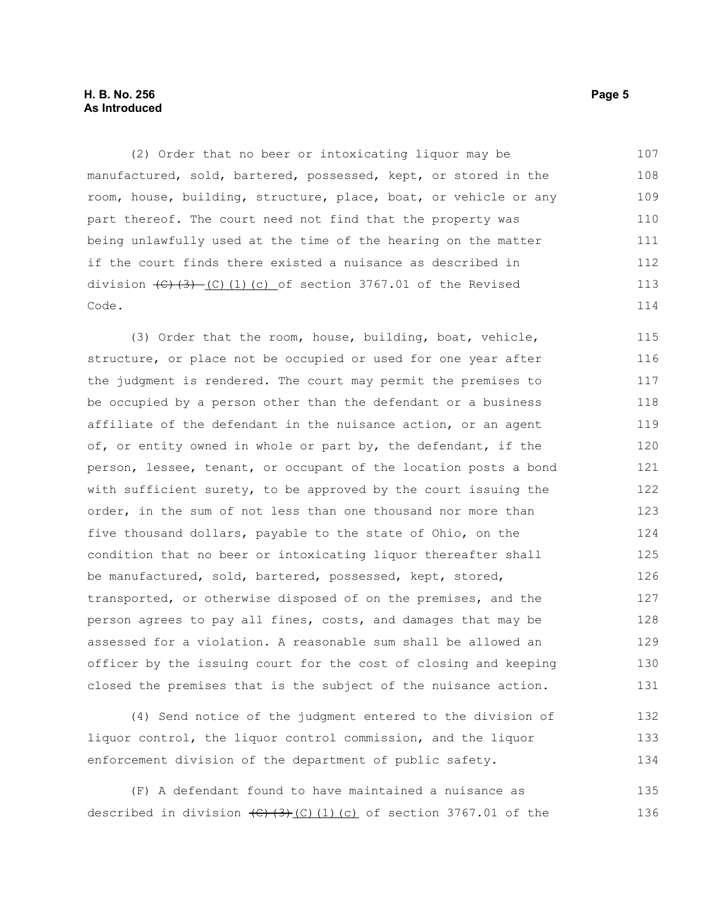#### **H. B. No. 256 Page 5 As Introduced**

(2) Order that no beer or intoxicating liquor may be manufactured, sold, bartered, possessed, kept, or stored in the room, house, building, structure, place, boat, or vehicle or any part thereof. The court need not find that the property was being unlawfully used at the time of the hearing on the matter if the court finds there existed a nuisance as described in division  $(\theta)$   $(\theta)$  (C)(1)(c) of section 3767.01 of the Revised Code. 107 108 109 110 111 112 113 114

(3) Order that the room, house, building, boat, vehicle, structure, or place not be occupied or used for one year after the judgment is rendered. The court may permit the premises to be occupied by a person other than the defendant or a business affiliate of the defendant in the nuisance action, or an agent of, or entity owned in whole or part by, the defendant, if the person, lessee, tenant, or occupant of the location posts a bond with sufficient surety, to be approved by the court issuing the order, in the sum of not less than one thousand nor more than five thousand dollars, payable to the state of Ohio, on the condition that no beer or intoxicating liquor thereafter shall be manufactured, sold, bartered, possessed, kept, stored, transported, or otherwise disposed of on the premises, and the person agrees to pay all fines, costs, and damages that may be assessed for a violation. A reasonable sum shall be allowed an officer by the issuing court for the cost of closing and keeping closed the premises that is the subject of the nuisance action. 115 116 117 118 119 120 121 122 123 124 125 126 127 128 129 130 131

(4) Send notice of the judgment entered to the division of liquor control, the liquor control commission, and the liquor enforcement division of the department of public safety. 132 133 134

(F) A defendant found to have maintained a nuisance as described in division  $\left(\frac{C}{3}\right)\left(\frac{C}{1}\right)\left(\frac{C}{1}\right)$  of section 3767.01 of the 135 136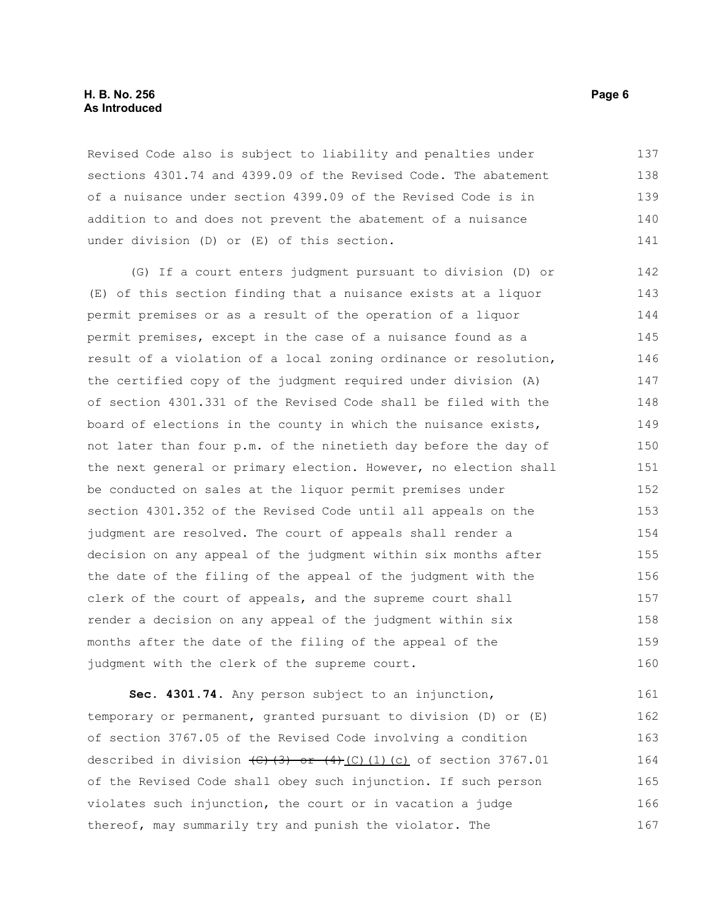#### **H. B. No. 256 Page 6 As Introduced**

Revised Code also is subject to liability and penalties under sections 4301.74 and 4399.09 of the Revised Code. The abatement of a nuisance under section 4399.09 of the Revised Code is in addition to and does not prevent the abatement of a nuisance under division (D) or (E) of this section. 137 138 139 140 141

(G) If a court enters judgment pursuant to division (D) or (E) of this section finding that a nuisance exists at a liquor permit premises or as a result of the operation of a liquor permit premises, except in the case of a nuisance found as a result of a violation of a local zoning ordinance or resolution, the certified copy of the judgment required under division (A) of section 4301.331 of the Revised Code shall be filed with the board of elections in the county in which the nuisance exists, not later than four p.m. of the ninetieth day before the day of the next general or primary election. However, no election shall be conducted on sales at the liquor permit premises under section 4301.352 of the Revised Code until all appeals on the judgment are resolved. The court of appeals shall render a decision on any appeal of the judgment within six months after the date of the filing of the appeal of the judgment with the clerk of the court of appeals, and the supreme court shall render a decision on any appeal of the judgment within six months after the date of the filing of the appeal of the judgment with the clerk of the supreme court. 142 143 144 145 146 147 148 149 150 151 152 153 154 155 156 157 158 159 160

**Sec. 4301.74.** Any person subject to an injunction, temporary or permanent, granted pursuant to division (D) or (E) of section 3767.05 of the Revised Code involving a condition described in division  $\left(\frac{C}{3}\right)$  or  $\left(\frac{4}{C}\right)$  (1)(c) of section 3767.01 of the Revised Code shall obey such injunction. If such person violates such injunction, the court or in vacation a judge thereof, may summarily try and punish the violator. The 161 162 163 164 165 166 167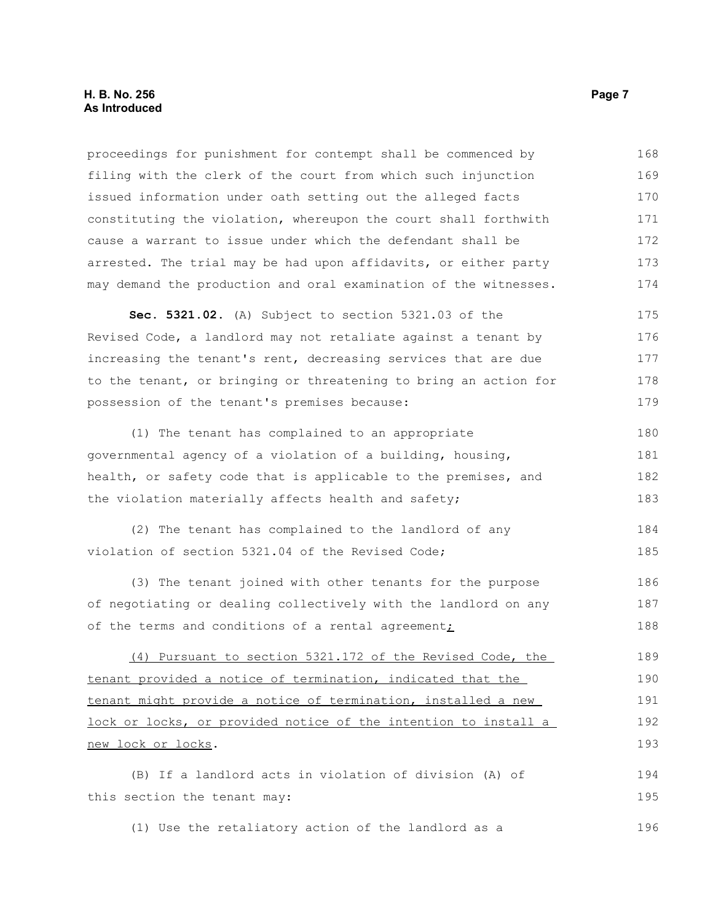#### **H. B. No. 256 Page 7 As Introduced**

proceedings for punishment for contempt shall be commenced by filing with the clerk of the court from which such injunction issued information under oath setting out the alleged facts constituting the violation, whereupon the court shall forthwith cause a warrant to issue under which the defendant shall be arrested. The trial may be had upon affidavits, or either party may demand the production and oral examination of the witnesses. 168 169 170 171 172 173 174

**Sec. 5321.02.** (A) Subject to section 5321.03 of the Revised Code, a landlord may not retaliate against a tenant by increasing the tenant's rent, decreasing services that are due to the tenant, or bringing or threatening to bring an action for possession of the tenant's premises because: 175 176 177 178 179

(1) The tenant has complained to an appropriate governmental agency of a violation of a building, housing, health, or safety code that is applicable to the premises, and the violation materially affects health and safety; 180 181 182 183

(2) The tenant has complained to the landlord of any violation of section 5321.04 of the Revised Code; 184 185

(3) The tenant joined with other tenants for the purpose of negotiating or dealing collectively with the landlord on any of the terms and conditions of a rental agreement; 186 187 188

(4) Pursuant to section 5321.172 of the Revised Code, the tenant provided a notice of termination, indicated that the tenant might provide a notice of termination, installed a new lock or locks, or provided notice of the intention to install a new lock or locks. 189 190 191 192 193

(B) If a landlord acts in violation of division (A) of this section the tenant may: 194 195

(1) Use the retaliatory action of the landlord as a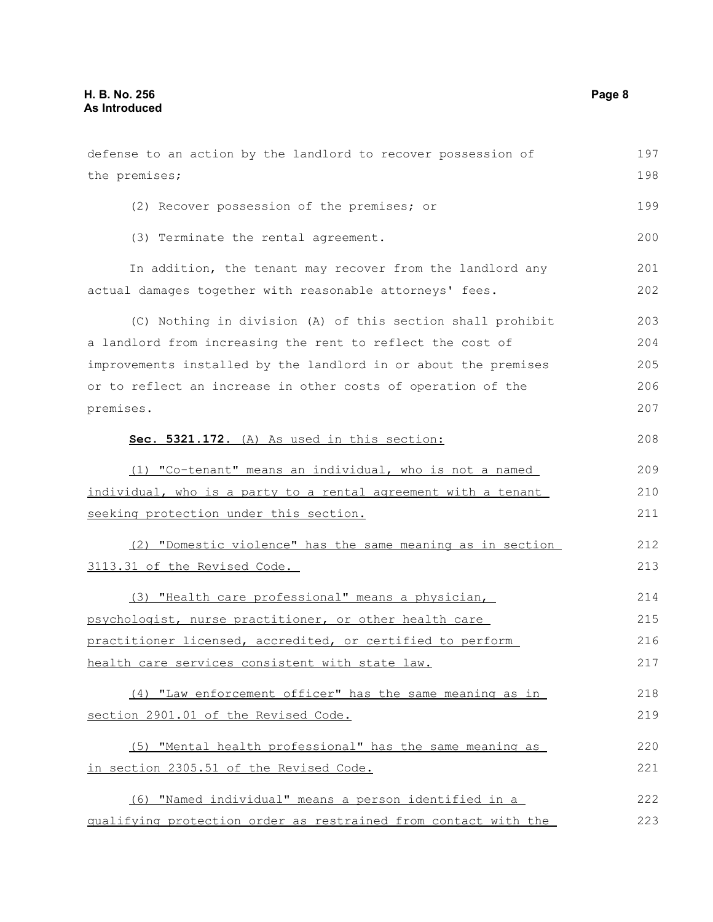defense to an action by the landlord to recover possession of the premises; (2) Recover possession of the premises; or (3) Terminate the rental agreement. In addition, the tenant may recover from the landlord any actual damages together with reasonable attorneys' fees. (C) Nothing in division (A) of this section shall prohibit a landlord from increasing the rent to reflect the cost of improvements installed by the landlord in or about the premises or to reflect an increase in other costs of operation of the premises. **Sec. 5321.172.** (A) As used in this section: (1) "Co-tenant" means an individual, who is not a named individual, who is a party to a rental agreement with a tenant seeking protection under this section. (2) "Domestic violence" has the same meaning as in section 3113.31 of the Revised Code. (3) "Health care professional" means a physician, psychologist, nurse practitioner, or other health care practitioner licensed, accredited, or certified to perform health care services consistent with state law. (4) "Law enforcement officer" has the same meaning as in section 2901.01 of the Revised Code. (5) "Mental health professional" has the same meaning as in section 2305.51 of the Revised Code. (6) "Named individual" means a person identified in a qualifying protection order as restrained from contact with the 197 198 199 200 201 202 203 204 205 206 207 208 209 210 211 212 213 214 215 216 217 218 219 220 221 222 223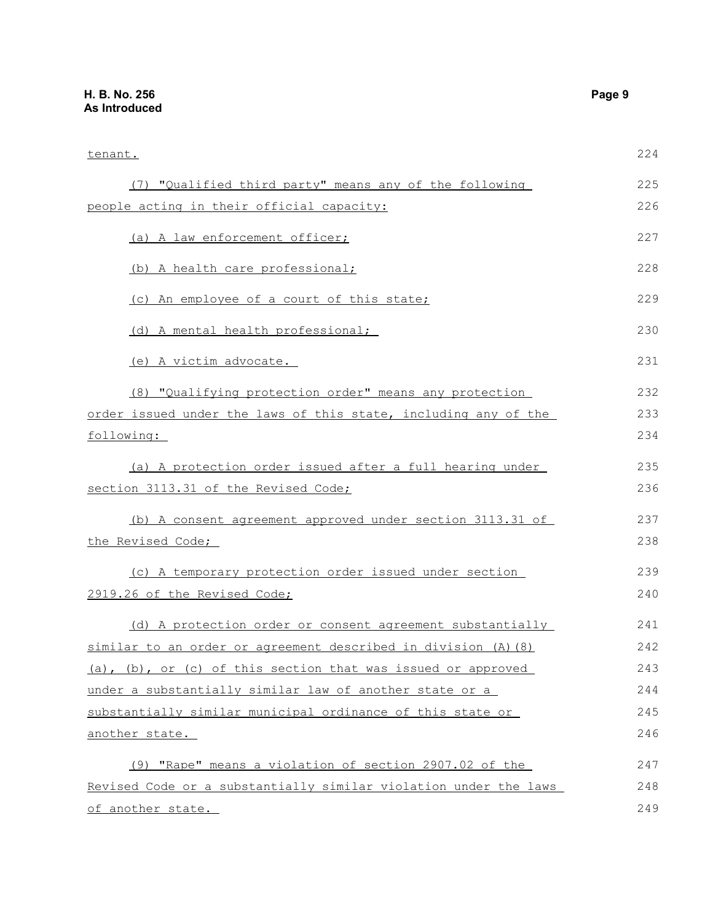## **H. B. No. 256 Page 9 As Introduced**

| tenant.                                                                                                                                                                                                                                                                                                                                                                                                                                                                                                                                                                                                                                                                                                      | 224 |
|--------------------------------------------------------------------------------------------------------------------------------------------------------------------------------------------------------------------------------------------------------------------------------------------------------------------------------------------------------------------------------------------------------------------------------------------------------------------------------------------------------------------------------------------------------------------------------------------------------------------------------------------------------------------------------------------------------------|-----|
| (7) "Qualified third party" means any of the following                                                                                                                                                                                                                                                                                                                                                                                                                                                                                                                                                                                                                                                       | 225 |
| people acting in their official capacity:                                                                                                                                                                                                                                                                                                                                                                                                                                                                                                                                                                                                                                                                    | 226 |
| (a) A law enforcement officer;                                                                                                                                                                                                                                                                                                                                                                                                                                                                                                                                                                                                                                                                               | 227 |
| (b) A health care professional;                                                                                                                                                                                                                                                                                                                                                                                                                                                                                                                                                                                                                                                                              | 228 |
| (c) An employee of a court of this state;                                                                                                                                                                                                                                                                                                                                                                                                                                                                                                                                                                                                                                                                    | 229 |
| (d) A mental health professional;                                                                                                                                                                                                                                                                                                                                                                                                                                                                                                                                                                                                                                                                            | 230 |
| (e) A victim advocate.                                                                                                                                                                                                                                                                                                                                                                                                                                                                                                                                                                                                                                                                                       | 231 |
| (8) "Qualifying protection order" means any protection                                                                                                                                                                                                                                                                                                                                                                                                                                                                                                                                                                                                                                                       | 232 |
| order issued under the laws of this state, including any of the                                                                                                                                                                                                                                                                                                                                                                                                                                                                                                                                                                                                                                              | 233 |
| following:                                                                                                                                                                                                                                                                                                                                                                                                                                                                                                                                                                                                                                                                                                   | 234 |
| (a) A protection order issued after a full hearing under                                                                                                                                                                                                                                                                                                                                                                                                                                                                                                                                                                                                                                                     | 235 |
| section 3113.31 of the Revised Code;<br>(b) A consent agreement approved under section 3113.31 of<br>the Revised Code;<br>(c) A temporary protection order issued under section<br>2919.26 of the Revised Code;<br>(d) A protection order or consent agreement substantially<br>similar to an order or agreement described in division (A) (8)<br>(a), (b), or (c) of this section that was issued or approved<br>under a substantially similar law of another state or a<br>substantially similar municipal ordinance of this state or<br>another state.<br>(9) "Rape" means a violation of section 2907.02 of the<br>Revised Code or a substantially similar violation under the laws<br>of another state. | 236 |
|                                                                                                                                                                                                                                                                                                                                                                                                                                                                                                                                                                                                                                                                                                              | 237 |
|                                                                                                                                                                                                                                                                                                                                                                                                                                                                                                                                                                                                                                                                                                              | 238 |
|                                                                                                                                                                                                                                                                                                                                                                                                                                                                                                                                                                                                                                                                                                              | 239 |
|                                                                                                                                                                                                                                                                                                                                                                                                                                                                                                                                                                                                                                                                                                              | 240 |
|                                                                                                                                                                                                                                                                                                                                                                                                                                                                                                                                                                                                                                                                                                              | 241 |
|                                                                                                                                                                                                                                                                                                                                                                                                                                                                                                                                                                                                                                                                                                              | 242 |
|                                                                                                                                                                                                                                                                                                                                                                                                                                                                                                                                                                                                                                                                                                              | 243 |
|                                                                                                                                                                                                                                                                                                                                                                                                                                                                                                                                                                                                                                                                                                              | 244 |
|                                                                                                                                                                                                                                                                                                                                                                                                                                                                                                                                                                                                                                                                                                              | 245 |
|                                                                                                                                                                                                                                                                                                                                                                                                                                                                                                                                                                                                                                                                                                              | 246 |
|                                                                                                                                                                                                                                                                                                                                                                                                                                                                                                                                                                                                                                                                                                              | 247 |
|                                                                                                                                                                                                                                                                                                                                                                                                                                                                                                                                                                                                                                                                                                              | 248 |
|                                                                                                                                                                                                                                                                                                                                                                                                                                                                                                                                                                                                                                                                                                              | 249 |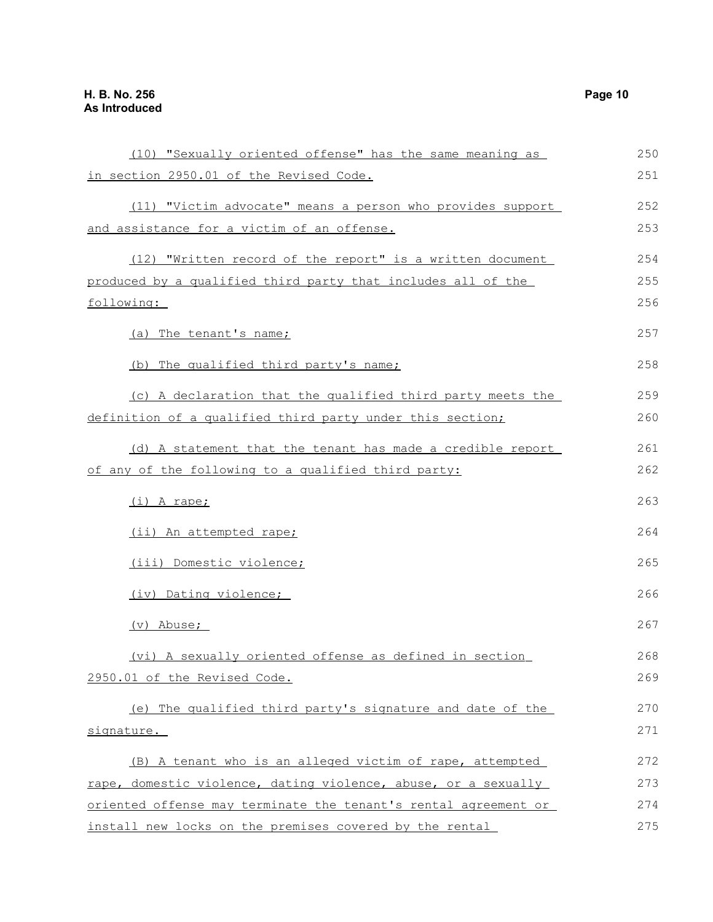| (10) "Sexually oriented offense" has the same meaning as        | 250 |
|-----------------------------------------------------------------|-----|
| in section 2950.01 of the Revised Code.                         | 251 |
| (11) "Victim advocate" means a person who provides support      | 252 |
| and assistance for a victim of an offense.                      | 253 |
| (12) "Written record of the report" is a written document       | 254 |
| produced by a qualified third party that includes all of the    | 255 |
| following:                                                      | 256 |
| (a) The tenant's name;                                          | 257 |
| (b) The qualified third party's name;                           | 258 |
| (c) A declaration that the qualified third party meets the      | 259 |
| definition of a qualified third party under this section;       | 260 |
| (d) A statement that the tenant has made a credible report      | 261 |
| of any of the following to a qualified third party:             | 262 |
| (i) A rape;                                                     | 263 |
| (ii) An attempted rape;                                         | 264 |
| (iii) Domestic violence;                                        | 265 |
| (iv) Dating violence;                                           | 266 |
| (v) Abuse;                                                      | 267 |
| (vi) A sexually oriented offense as defined in section          | 268 |
| 2950.01 of the Revised Code.                                    | 269 |
| (e) The qualified third party's signature and date of the       | 270 |
| signature.                                                      | 271 |
| (B) A tenant who is an alleged victim of rape, attempted        | 272 |
| rape, domestic violence, dating violence, abuse, or a sexually  | 273 |
| oriented offense may terminate the tenant's rental agreement or | 274 |
| install new locks on the premises covered by the rental         | 275 |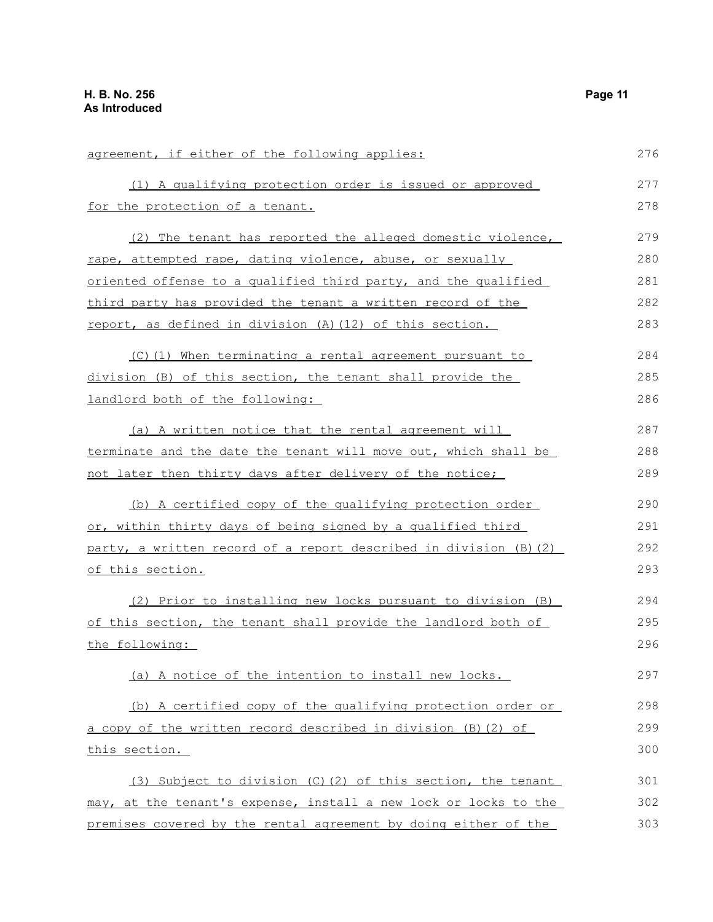| agreement, if either of the following applies:                    | 276 |
|-------------------------------------------------------------------|-----|
| (1) A qualifying protection order is issued or approved           | 277 |
| for the protection of a tenant.                                   | 278 |
| (2) The tenant has reported the alleged domestic violence,        | 279 |
| rape, attempted rape, dating violence, abuse, or sexually         | 280 |
| oriented offense to a qualified third party, and the qualified    | 281 |
| third party has provided the tenant a written record of the       | 282 |
| report, as defined in division (A) (12) of this section.          | 283 |
| (C)(1) When terminating a rental agreement pursuant to            | 284 |
| division (B) of this section, the tenant shall provide the        | 285 |
| landlord both of the following:                                   | 286 |
| (a) A written notice that the rental agreement will               | 287 |
| terminate and the date the tenant will move out, which shall be   | 288 |
| not later then thirty days after delivery of the notice;          | 289 |
| (b) A certified copy of the qualifying protection order           | 290 |
| or, within thirty days of being signed by a qualified third       | 291 |
| party, a written record of a report described in division (B) (2) | 292 |
| <u>of this section.</u>                                           | 293 |
| (2) Prior to installing new locks pursuant to division (B)        | 294 |
| of this section, the tenant shall provide the landlord both of    | 295 |
| the following:                                                    | 296 |
| (a) A notice of the intention to install new locks.               | 297 |
| (b) A certified copy of the qualifying protection order or        | 298 |
| a copy of the written record described in division (B) (2) of     | 299 |
| this section.                                                     | 300 |
| (3) Subject to division (C)(2) of this section, the tenant        | 301 |
| may, at the tenant's expense, install a new lock or locks to the  | 302 |
| premises covered by the rental agreement by doing either of the   | 303 |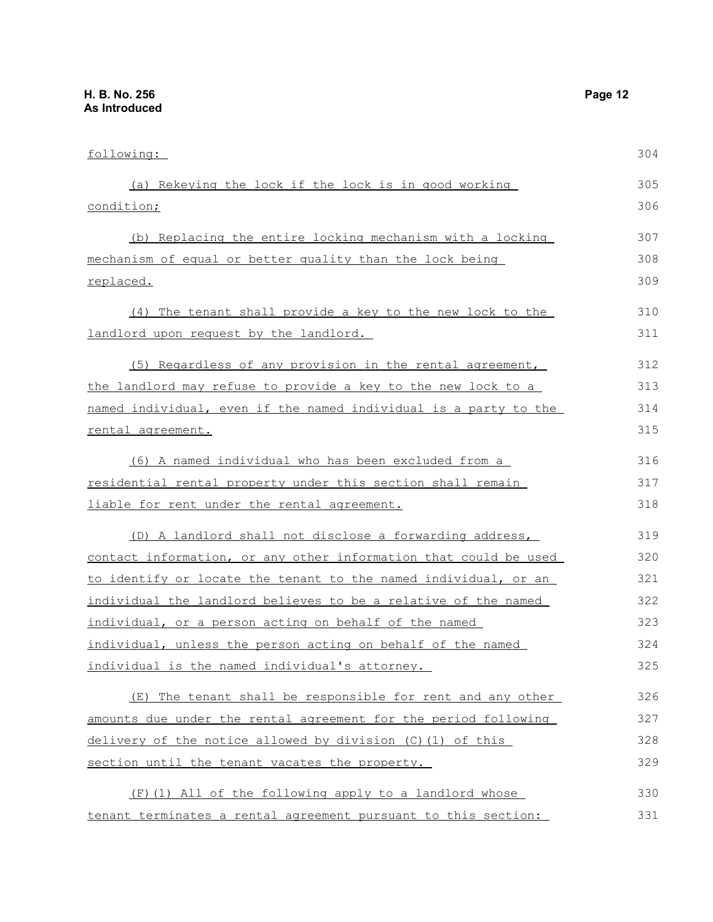| following:                                                       | 304 |
|------------------------------------------------------------------|-----|
| (a) Rekeying the lock if the lock is in good working             | 305 |
| condition;                                                       | 306 |
| (b) Replacing the entire locking mechanism with a locking        | 307 |
| mechanism of equal or better quality than the lock being         | 308 |
| replaced.                                                        | 309 |
| (4) The tenant shall provide a key to the new lock to the        | 310 |
| landlord upon request by the landlord.                           | 311 |
| (5) Regardless of any provision in the rental agreement,         | 312 |
| the landlord may refuse to provide a key to the new lock to a    | 313 |
| named individual, even if the named individual is a party to the | 314 |
| rental agreement.                                                | 315 |
| (6) A named individual who has been excluded from a              | 316 |
| residential rental property under this section shall remain      | 317 |
| liable for rent under the rental agreement.                      | 318 |
| (D) A landlord shall not disclose a forwarding address,          | 319 |
| contact information, or any other information that could be used | 320 |
| to identify or locate the tenant to the named individual, or an  | 321 |
| individual the landlord believes to be a relative of the named   | 322 |
| individual, or a person acting on behalf of the named            | 323 |
| individual, unless the person acting on behalf of the named      | 324 |
| individual is the named individual's attorney.                   | 325 |
| (E) The tenant shall be responsible for rent and any other       | 326 |
| amounts due under the rental agreement for the period following  | 327 |
| delivery of the notice allowed by division $(C)$ (1) of this     | 328 |
| section until the tenant vacates the property.                   | 329 |
| (F) (1) All of the following apply to a landlord whose           | 330 |
| tenant terminates a rental agreement pursuant to this section:   | 331 |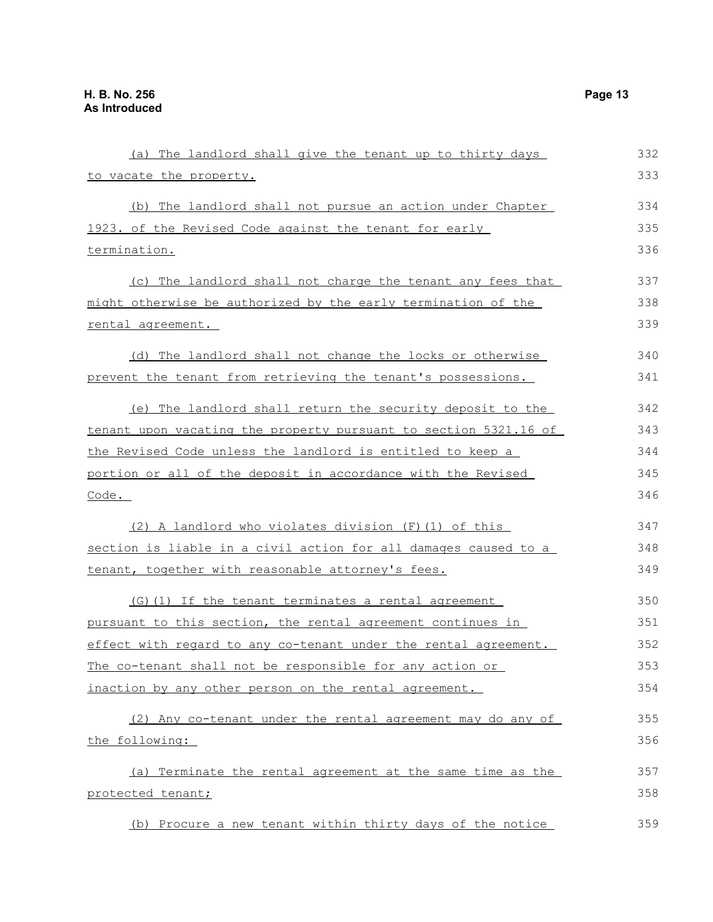| (a) The landlord shall give the tenant up to thirty days                | 332 |
|-------------------------------------------------------------------------|-----|
| to vacate the property.                                                 | 333 |
| (b) The landlord shall not pursue an action under Chapter               | 334 |
| 1923. of the Revised Code against the tenant for early                  | 335 |
| termination.                                                            | 336 |
| (c) The landlord shall not charge the tenant any fees that              | 337 |
| might otherwise be authorized by the early termination of the           | 338 |
| rental agreement.                                                       | 339 |
| (d) The landlord shall not change the locks or otherwise                | 340 |
| prevent the tenant from retrieving the tenant's possessions.            | 341 |
| (e) The landlord shall return the security deposit to the               | 342 |
| <u>tenant upon vacating the property pursuant to section 5321.16 of</u> | 343 |
| the Revised Code unless the landlord is entitled to keep a              | 344 |
| portion or all of the deposit in accordance with the Revised            | 345 |
| Code.                                                                   | 346 |
| (2) A landlord who violates division (F) (1) of this                    | 347 |
| section is liable in a civil action for all damages caused to a         | 348 |
| tenant, together with reasonable attorney's fees.                       | 349 |
| (G)(1) If the tenant terminates a rental agreement                      | 350 |
| pursuant to this section, the rental agreement continues in             | 351 |
| effect with regard to any co-tenant under the rental agreement.         | 352 |
| The co-tenant shall not be responsible for any action or                | 353 |
| inaction by any other person on the rental agreement.                   | 354 |
| (2) Any co-tenant under the rental agreement may do any of              | 355 |
| the following:                                                          | 356 |
| (a) Terminate the rental agreement at the same time as the              | 357 |
| protected tenant;                                                       | 358 |
| (b) Procure a new tenant within thirty days of the notice               | 359 |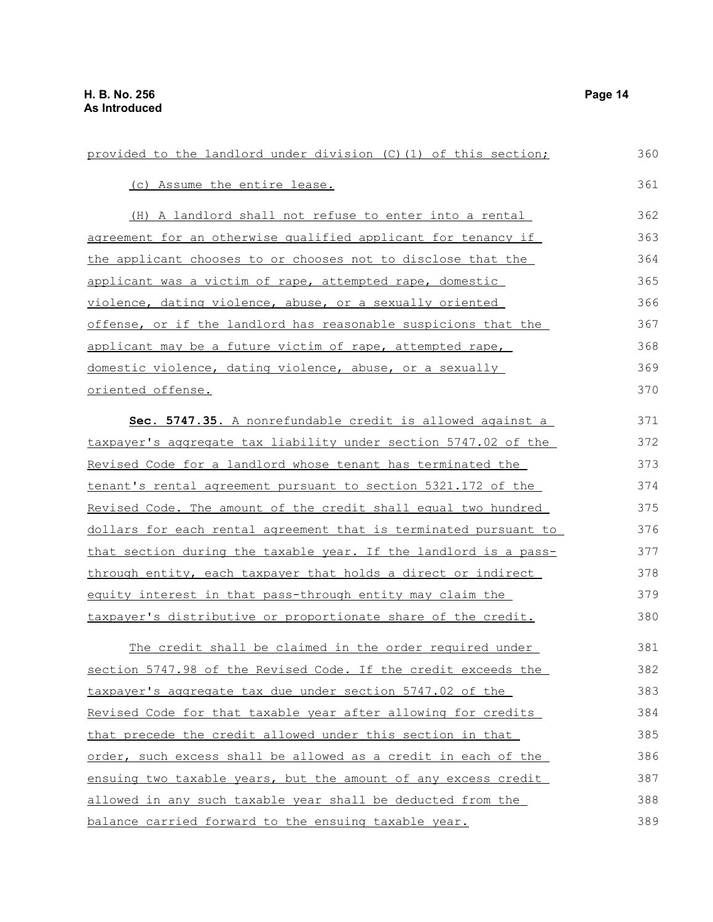| provided to the landlord under division (C) (1) of this section;     | 360 |
|----------------------------------------------------------------------|-----|
| (c) Assume the entire lease.                                         | 361 |
| (H) A landlord shall not refuse to enter into a rental               | 362 |
| agreement for an otherwise qualified applicant for tenancy if        | 363 |
| the applicant chooses to or chooses not to disclose that the         | 364 |
| applicant was a victim of rape, attempted rape, domestic             | 365 |
| violence, dating violence, abuse, or a sexually oriented             | 366 |
| offense, or if the landlord has reasonable suspicions that the       | 367 |
| applicant may be a future victim of rape, attempted rape,            | 368 |
| domestic violence, dating violence, abuse, or a sexually             | 369 |
| oriented offense.                                                    | 370 |
| Sec. 5747.35. A nonrefundable credit is allowed against a            | 371 |
| taxpayer's aggregate tax liability under section 5747.02 of the      | 372 |
| Revised Code for a landlord whose tenant has terminated the          | 373 |
| <u>tenant's rental agreement pursuant to section 5321.172 of the</u> | 374 |
| Revised Code. The amount of the credit shall equal two hundred       | 375 |
| dollars for each rental agreement that is terminated pursuant to     | 376 |
| that section during the taxable year. If the landlord is a pass-     | 377 |
| through entity, each taxpayer that holds a direct or indirect        | 378 |
| equity interest in that pass-through entity may claim the            | 379 |
| taxpayer's distributive or proportionate share of the credit.        | 380 |
| The credit shall be claimed in the order required under              | 381 |
| section 5747.98 of the Revised Code. If the credit exceeds the       | 382 |
| taxpayer's aggregate tax due under section 5747.02 of the            | 383 |
| Revised Code for that taxable year after allowing for credits        | 384 |
| that precede the credit allowed under this section in that           | 385 |
| order, such excess shall be allowed as a credit in each of the       | 386 |
| ensuing two taxable years, but the amount of any excess credit       | 387 |
| allowed in any such taxable year shall be deducted from the          | 388 |

balance carried forward to the ensuing taxable year.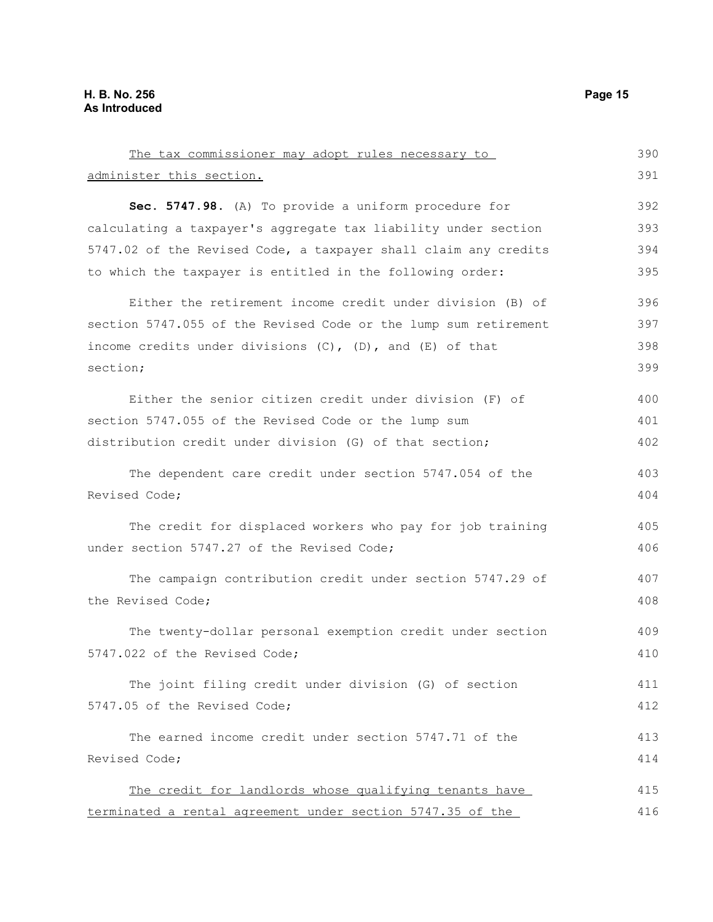| The tax commissioner may adopt rules necessary to                | 390 |
|------------------------------------------------------------------|-----|
| administer this section.                                         | 391 |
| Sec. 5747.98. (A) To provide a uniform procedure for             | 392 |
| calculating a taxpayer's aggregate tax liability under section   | 393 |
| 5747.02 of the Revised Code, a taxpayer shall claim any credits  | 394 |
| to which the taxpayer is entitled in the following order:        | 395 |
| Either the retirement income credit under division (B) of        | 396 |
| section 5747.055 of the Revised Code or the lump sum retirement  | 397 |
| income credits under divisions $(C)$ , $(D)$ , and $(E)$ of that | 398 |
| section;                                                         | 399 |
| Either the senior citizen credit under division (F) of           | 400 |
| section 5747.055 of the Revised Code or the lump sum             | 401 |
| distribution credit under division (G) of that section;          | 402 |
| The dependent care credit under section 5747.054 of the          | 403 |
| Revised Code;                                                    | 404 |
| The credit for displaced workers who pay for job training        | 405 |
| under section 5747.27 of the Revised Code;                       | 406 |
| The campaign contribution credit under section 5747.29 of        | 407 |
| the Revised Code;                                                | 408 |
| The twenty-dollar personal exemption credit under section        | 409 |
| 5747.022 of the Revised Code;                                    | 410 |
| The joint filing credit under division (G) of section            | 411 |
| 5747.05 of the Revised Code;                                     | 412 |
| The earned income credit under section 5747.71 of the            | 413 |
| Revised Code;                                                    | 414 |
| The credit for landlords whose qualifying tenants have           | 415 |
| terminated a rental agreement under section 5747.35 of the       | 416 |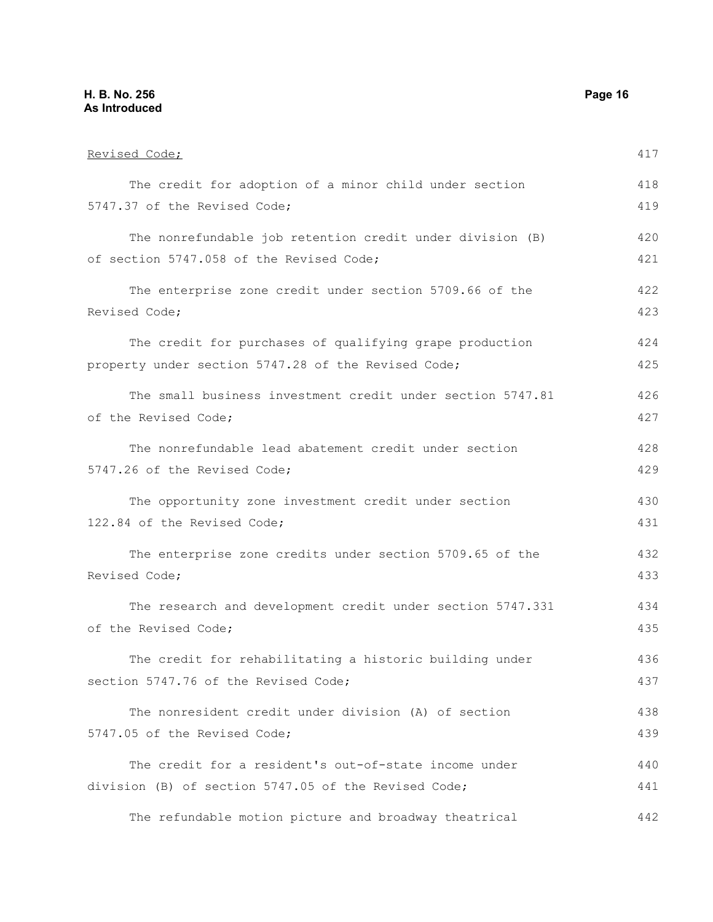### **H. B. No. 256 Page 16 As Introduced**

| Revised Code;                                              | 417 |
|------------------------------------------------------------|-----|
| The credit for adoption of a minor child under section     | 418 |
| 5747.37 of the Revised Code;                               | 419 |
| The nonrefundable job retention credit under division (B)  | 420 |
| of section 5747.058 of the Revised Code;                   | 421 |
| The enterprise zone credit under section 5709.66 of the    | 422 |
| Revised Code;                                              | 423 |
| The credit for purchases of qualifying grape production    | 424 |
| property under section 5747.28 of the Revised Code;        | 425 |
| The small business investment credit under section 5747.81 | 426 |
| of the Revised Code;                                       | 427 |
| The nonrefundable lead abatement credit under section      | 428 |
| 5747.26 of the Revised Code;                               | 429 |
| The opportunity zone investment credit under section       | 430 |
| 122.84 of the Revised Code;                                | 431 |
| The enterprise zone credits under section 5709.65 of the   | 432 |
| Revised Code;                                              | 433 |
| The research and development credit under section 5747.331 | 434 |
| of the Revised Code;                                       | 435 |
| The credit for rehabilitating a historic building under    | 436 |
| section 5747.76 of the Revised Code;                       | 437 |
| The nonresident credit under division (A) of section       | 438 |
| 5747.05 of the Revised Code;                               | 439 |
| The credit for a resident's out-of-state income under      | 440 |
| division (B) of section 5747.05 of the Revised Code;       | 441 |
| The refundable motion picture and broadway theatrical      | 442 |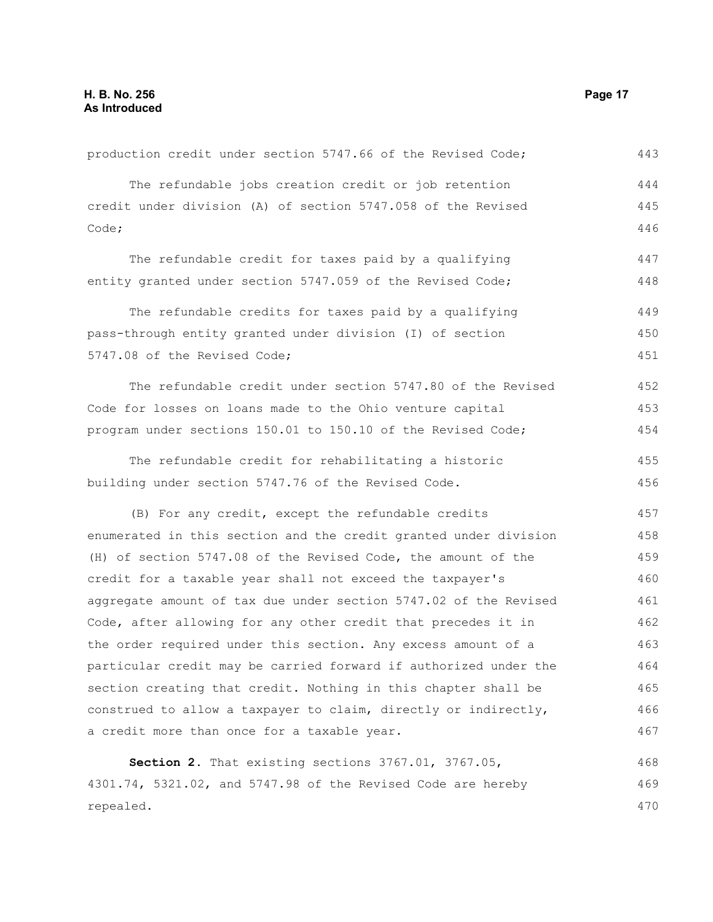| production credit under section 5747.66 of the Revised Code;     | 443 |
|------------------------------------------------------------------|-----|
| The refundable jobs creation credit or job retention             | 444 |
| credit under division (A) of section 5747.058 of the Revised     | 445 |
| Code;                                                            | 446 |
| The refundable credit for taxes paid by a qualifying             | 447 |
| entity granted under section 5747.059 of the Revised Code;       | 448 |
| The refundable credits for taxes paid by a qualifying            | 449 |
| pass-through entity granted under division (I) of section        | 450 |
| 5747.08 of the Revised Code;                                     | 451 |
| The refundable credit under section 5747.80 of the Revised       | 452 |
| Code for losses on loans made to the Ohio venture capital        | 453 |
| program under sections 150.01 to 150.10 of the Revised Code;     | 454 |
| The refundable credit for rehabilitating a historic              | 455 |
| building under section 5747.76 of the Revised Code.              | 456 |
| (B) For any credit, except the refundable credits                | 457 |
| enumerated in this section and the credit granted under division | 458 |
| (H) of section 5747.08 of the Revised Code, the amount of the    | 459 |
| credit for a taxable year shall not exceed the taxpayer's        | 460 |
| aggregate amount of tax due under section 5747.02 of the Revised | 461 |
| Code, after allowing for any other credit that precedes it in    | 462 |
| the order required under this section. Any excess amount of a    | 463 |
| particular credit may be carried forward if authorized under the | 464 |
| section creating that credit. Nothing in this chapter shall be   | 465 |
| construed to allow a taxpayer to claim, directly or indirectly,  | 466 |
| a credit more than once for a taxable year.                      | 467 |
| Section 2. That existing sections 3767.01, 3767.05,              | 468 |
| 4301.74, 5321.02, and 5747.98 of the Revised Code are hereby     | 469 |
| repealed.                                                        | 470 |